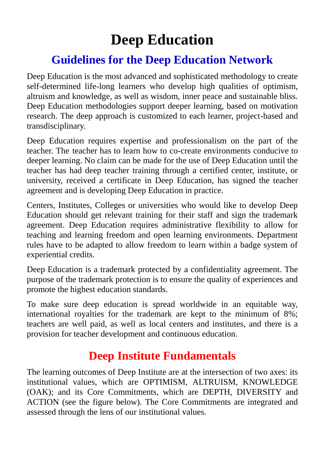## **Deep Education**

## **Guidelines for the Deep Education Network**

Deep Education is the most advanced and sophisticated methodology to create self-determined life-long learners who develop high qualities of optimism, altruism and knowledge, as well as wisdom, inner peace and sustainable bliss. Deep Education methodologies support deeper learning, based on motivation research. The deep approach is customized to each learner, project-based and transdisciplinary.

Deep Education requires expertise and professionalism on the part of the teacher. The teacher has to learn how to co-create environments conducive to deeper learning. No claim can be made for the use of Deep Education until the teacher has had deep teacher training through a certified center, institute, or university, received a certificate in Deep Education, has signed the teacher agreement and is developing Deep Education in practice.

Centers, Institutes, Colleges or universities who would like to develop Deep Education should get relevant training for their staff and sign the trademark agreement. Deep Education requires administrative flexibility to allow for teaching and learning freedom and open learning environments. Department rules have to be adapted to allow freedom to learn within a badge system of experiential credits.

Deep Education is a trademark protected by a confidentiality agreement. The purpose of the trademark protection is to ensure the quality of experiences and promote the highest education standards.

To make sure deep education is spread worldwide in an equitable way, international royalties for the trademark are kept to the minimum of 8%; teachers are well paid, as well as local centers and institutes, and there is a provision for teacher development and continuous education.

## **Deep Institute Fundamentals**

The learning outcomes of Deep Institute are at the intersection of two axes: its institutional values, which are OPTIMISM, ALTRUISM, KNOWLEDGE (OAK); and its Core Commitments, which are DEPTH, DIVERSITY and ACTION (see the figure below). The Core Commitments are integrated and assessed through the lens of our institutional values.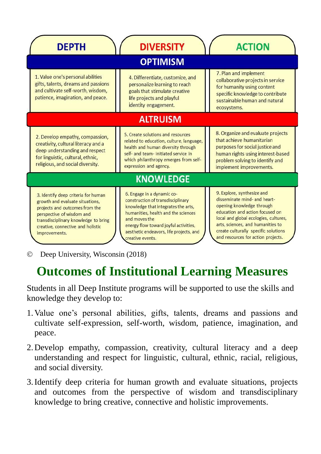| <b>DEPTH</b>                                                                                                                                                                                                                        | <b>DIVERSITY</b>                                                                                                                                                                                                                                                       | <b>ACTION</b>                                                                                                                                                                                                                                                                          |
|-------------------------------------------------------------------------------------------------------------------------------------------------------------------------------------------------------------------------------------|------------------------------------------------------------------------------------------------------------------------------------------------------------------------------------------------------------------------------------------------------------------------|----------------------------------------------------------------------------------------------------------------------------------------------------------------------------------------------------------------------------------------------------------------------------------------|
| <b>OPTIMISM</b>                                                                                                                                                                                                                     |                                                                                                                                                                                                                                                                        |                                                                                                                                                                                                                                                                                        |
| 1. Value one's personal abilities<br>gifts, talents, dreams and passions<br>and cultivate self-worth, wisdom,<br>patience, imagination, and peace.                                                                                  | 4. Differentiate, customize, and<br>personalize learning to reach<br>goals that stimulate creative<br>life projects and playful<br>identity engagement.                                                                                                                | 7. Plan and implement<br>collaborative projects in service<br>for humanity using content<br>specific knowledge to contribute<br>sustainable human and natural<br>ecosystems.                                                                                                           |
| <b>ALTRUISM</b>                                                                                                                                                                                                                     |                                                                                                                                                                                                                                                                        |                                                                                                                                                                                                                                                                                        |
| 2. Develop empathy, compassion,<br>creativity, cultural literacy and a<br>deep understanding and respect<br>for linguistic, cultural, ethnic,<br>religious, and social diversity.                                                   | 5. Create solutions and resources<br>related to education, culture, language,<br>health and human diversity through<br>self- and team- initiated service in<br>which philanthropy emerges from self-<br>expression and agency.                                         | 8. Organize and evaluate projects<br>that achieve humanitarian<br>purposes for social justice and<br>human rights using interest-based<br>problem solving to identify and<br>implement improvements.                                                                                   |
| <b>KNOWLEDGE</b>                                                                                                                                                                                                                    |                                                                                                                                                                                                                                                                        |                                                                                                                                                                                                                                                                                        |
| 3. Identify deep criteria for human<br>growth and evaluate situations,<br>projects and outcomes from the<br>perspective of wisdom and<br>transdisciplinary knowledge to bring<br>creative, connective and holistic<br>improvements. | 6. Engage in a dynamic co-<br>construction of transdisciplinary<br>knowledge that integrates the arts,<br>humanities, health and the sciences<br>and moves the<br>energy flow toward joyful activities,<br>aesthetic endeavors, life projects, and<br>creative events. | 9. Explore, synthesize and<br>disseminate mind- and heart-<br>opening knowledge through<br>education and action focused on<br>local and global ecologies, cultures,<br>arts, sciences, and humanities to<br>create culturally specific solutions<br>and resources for action projects. |

Deep University, Wisconsin (2018)

## **Outcomes of Institutional Learning Measures**

Students in all Deep Institute programs will be supported to use the skills and knowledge they develop to:

- 1.Value one's personal abilities, gifts, talents, dreams and passions and cultivate self-expression, self-worth, wisdom, patience, imagination, and peace.
- 2.Develop empathy, compassion, creativity, cultural literacy and a deep understanding and respect for linguistic, cultural, ethnic, racial, religious, and social diversity.
- 3.Identify deep criteria for human growth and evaluate situations, projects and outcomes from the perspective of wisdom and transdisciplinary knowledge to bring creative, connective and holistic improvements.